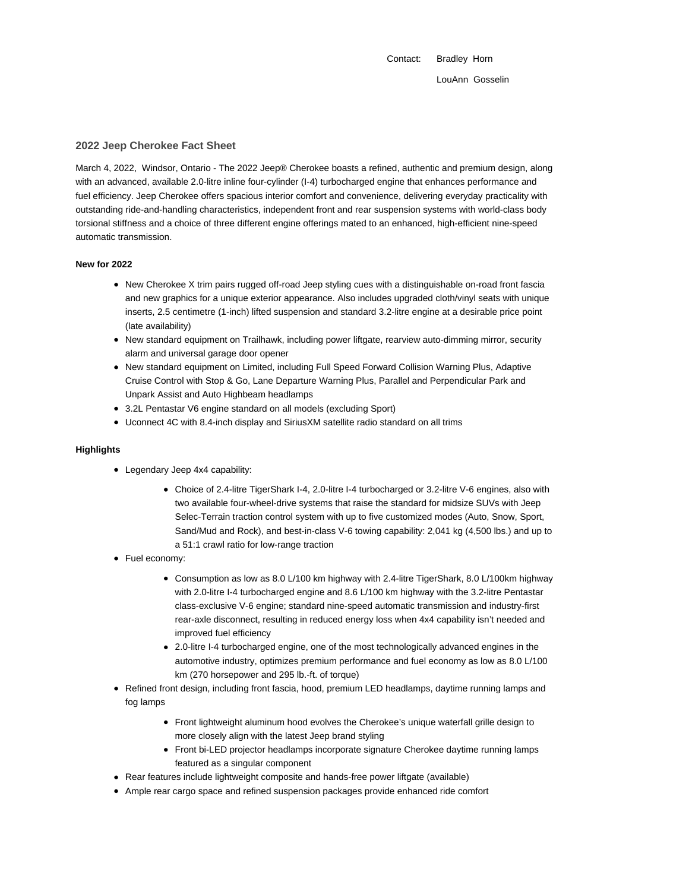Contact: Bradley Horn LouAnn Gosselin

### **2022 Jeep Cherokee Fact Sheet**

March 4, 2022, Windsor, Ontario - The 2022 Jeep® Cherokee boasts a refined, authentic and premium design, along with an advanced, available 2.0-litre inline four-cylinder (I-4) turbocharged engine that enhances performance and fuel efficiency. Jeep Cherokee offers spacious interior comfort and convenience, delivering everyday practicality with outstanding ride-and-handling characteristics, independent front and rear suspension systems with world-class body torsional stiffness and a choice of three different engine offerings mated to an enhanced, high-efficient nine-speed automatic transmission.

#### **New for 2022**

- New Cherokee X trim pairs rugged off-road Jeep styling cues with a distinguishable on-road front fascia and new graphics for a unique exterior appearance. Also includes upgraded cloth/vinyl seats with unique inserts, 2.5 centimetre (1-inch) lifted suspension and standard 3.2-litre engine at a desirable price point (late availability)
- New standard equipment on Trailhawk, including power liftgate, rearview auto-dimming mirror, security alarm and universal garage door opener
- New standard equipment on Limited, including Full Speed Forward Collision Warning Plus, Adaptive Cruise Control with Stop & Go, Lane Departure Warning Plus, Parallel and Perpendicular Park and Unpark Assist and Auto Highbeam headlamps
- 3.2L Pentastar V6 engine standard on all models (excluding Sport)
- Uconnect 4C with 8.4-inch display and SiriusXM satellite radio standard on all trims

### **Highlights**

- Legendary Jeep 4x4 capability:
	- Choice of 2.4-litre TigerShark I-4, 2.0-litre I-4 turbocharged or 3.2-litre V-6 engines, also with two available four-wheel-drive systems that raise the standard for midsize SUVs with Jeep Selec-Terrain traction control system with up to five customized modes (Auto, Snow, Sport, Sand/Mud and Rock), and best-in-class V-6 towing capability: 2,041 kg (4,500 lbs.) and up to a 51:1 crawl ratio for low-range traction
- Fuel economy:
	- Consumption as low as 8.0 L/100 km highway with 2.4-litre TigerShark, 8.0 L/100km highway with 2.0-litre I-4 turbocharged engine and 8.6 L/100 km highway with the 3.2-litre Pentastar class-exclusive V-6 engine; standard nine-speed automatic transmission and industry-first rear-axle disconnect, resulting in reduced energy loss when 4x4 capability isn't needed and improved fuel efficiency
	- 2.0-litre I-4 turbocharged engine, one of the most technologically advanced engines in the automotive industry, optimizes premium performance and fuel economy as low as 8.0 L/100 km (270 horsepower and 295 lb.-ft. of torque)
- Refined front design, including front fascia, hood, premium LED headlamps, daytime running lamps and fog lamps
	- Front lightweight aluminum hood evolves the Cherokee's unique waterfall grille design to more closely align with the latest Jeep brand styling
	- Front bi-LED projector headlamps incorporate signature Cherokee daytime running lamps featured as a singular component
- Rear features include lightweight composite and hands-free power liftgate (available)
- Ample rear cargo space and refined suspension packages provide enhanced ride comfort